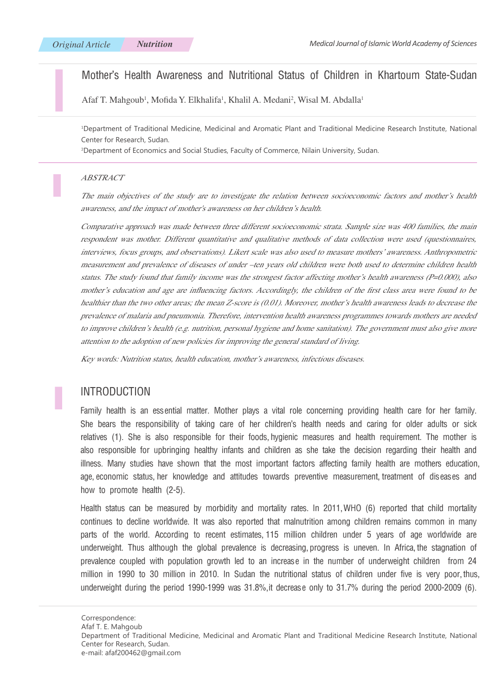# Mother''s Health Awareness and Nutritional Status of Children in Khartoum State-Sudan

Afaf T. Mahgoub<sup>1</sup>, Mofida Y. Elkhalifa<sup>1</sup>, Khalil A. Medani<sup>2</sup>, Wisal M. Abdalla<sup>1</sup>

1 Department of Traditional Medicine, Medicinal and Aromatic Plant and Traditional Medicine Research Institute, National Center for Research, Sudan.

2 Department of Economics and Social Studies, Faculty of Commerce, Nilain University, Sudan.

#### ABSTRACT

The main objectives of the study are to investigate the relation between socioeconomic factors and mother's health awareness, and the impact of mother's awareness on her children's health.

Comparative approach was made between three different socioeconomic strata. Sample size was 400 families, the main respondent was mother. Different quantitative and qualitative methods of data collection were used (questionnaires, interviews, focus groups, and observations). Likert scale was also used to measure mothers' awareness. Anthropometric measurement and prevalence of diseases of under –ten years old children were both used to determine children health status. The study found that family income was the strongest factor affecting mother's health awareness (P=0.000), also mother's education and age are influencing factors. Accordingly, the children of the first class area were found to be healthier than the two other areas; the mean Z-score is (0.01). Moreover, mother's health awareness leads to decrease the prevalence of malaria and pneumonia. Therefore, intervention health awareness programmes towards mothers are needed to improve children's health (e.g. nutrition, personal hygiene and home sanitation). The government must also give more attention to the adoption of new policies for improving the general standard of living.

Key words: Nutrition status, health education, mother's awareness, infectious diseases.

# INTRODUCTION

Family health is an essential matter. Mother plays a vital role concerning providing health care for her family. She bears the responsibility of taking care of her children's health needs and caring for older adults or sick relatives (1). She is also responsible for their foods, hygienic measures and health requirement. The mother is also responsible for upbringing healthy infants and children as she take the decision regarding their health and illness. Many studies have shown that the most important factors affecting family health are mothers education, age, economic status, her knowledge and attitudes towards preventive measurement, treatment of diseases and how to promote health (2-5).

Health status can be measured by morbidity and mortality rates. In 2011, WHO (6) reported that child mortality continues to decline worldwide. It was also reported that malnutrition among children remains common in many parts of the world. According to recent estimates, 115 million children under 5 years of age worldwide are underweight. Thus although the global prevalence is decreasing, progress is uneven. In Africa, the stagnation of prevalence coupled with population growth led to an increase in the number of underweight children from 24 million in 1990 to 30 million in 2010. In Sudan the nutritional status of children under five is very poor, thus, underweight during the period 1990-1999 was 31.8%, it decrease only to 31.7% during the period 2000-2009 (6).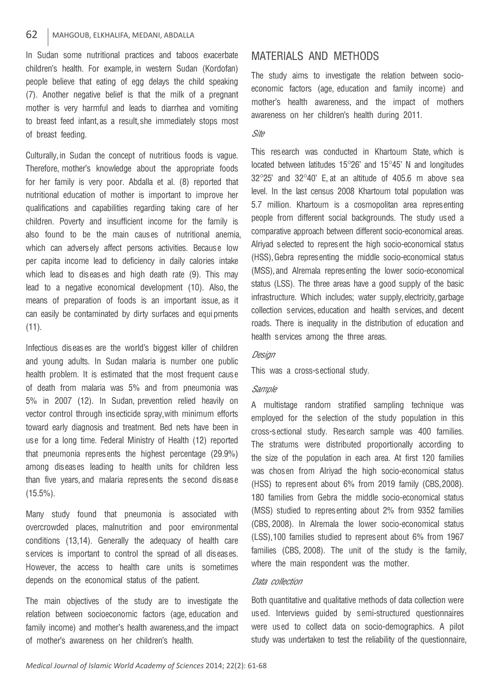In Sudan some nutritional practices and taboos exacerbate children's health. For example, in western Sudan (Kordofan) people believe that eating of egg delays the child speaking (7). Another negative belief is that the milk of a pregnant mother is very harmful and leads to diarrhea and vomiting to breast feed infant, as a result, she immediately stops most of breast feeding.

Culturally, in Sudan the concept of nutritious foods is vague. Therefore, mother's knowledge about the appropriate foods for her family is very poor. Abdalla et al. (8) reported that nutritional education of mother is important to improve her qualifications and capabilities regarding taking care of her children. Poverty and insufficient income for the family is also found to be the main causes of nutritional anemia, which can adversely affect persons activities. Because low per capita income lead to deficiency in daily calories intake which lead to diseases and high death rate (9). This may lead to a negative economical development (10). Also, the means of preparation of foods is an important issue, as it can easily be contaminated by dirty surfaces and equipments (11).

Infectious diseases are the world's biggest killer of children and young adults. In Sudan malaria is number one public health problem. It is estimated that the most frequent cause of death from malaria was 5% and from pneumonia was 5% in 2007 (12). In Sudan, prevention relied heavily on vector control through insecticide spray, with minimum efforts toward early diagnosis and treatment. Bed nets have been in use for a long time. Federal Ministry of Health (12) reported that pneumonia represents the highest percentage (29.9%) among diseases leading to health units for children less than five years, and malaria represents the second disease  $(15.5\%)$ .

Many study found that pneumonia is associated with overcrowded places, malnutrition and poor environmental conditions (13,14). Generally the adequacy of health care services is important to control the spread of all diseases. However, the access to health care units is sometimes depends on the economical status of the patient.

The main objectives of the study are to investigate the relation between socioeconomic factors (age, education and family income) and mother's health awareness, and the impact of mother's awareness on her children's health.

# Materials and Methods

The study aims to investigate the relation between socioeconomic factors (age, education and family income) and mother's health awareness, and the impact of mothers awareness on her children's health during 2011.

## Site

This research was conducted in Khartoum State, which is located between latitudes 15°26' and 15°45' N and longitudes  $32^{\circ}25'$  and  $32^{\circ}40'$  E, at an altitude of  $405.6$  m above sea level. In the last census 2008 Khartoum total population was 5.7 million. Khartoum is a cosmopolitan area representing people from different social backgrounds. The study used a comparative approach between different socio-economical areas. Alriyad selected to represent the high socio-economical status (HSS), Gebra representing the middle socio-economical status (MSS), and Alremala representing the lower socio-economical status (LSS). The three areas have a good supply of the basic infrastructure. Which includes; water supply, electricity, garbage collection services, education and health services, and decent roads. There is inequality in the distribution of education and health services among the three areas.

## Design

This was a cross-sectional study.

### Sample

A multistage random stratified sampling technique was employed for the selection of the study population in this cross-sectional study. Research sample was 400 families. The stratums were distributed proportionally according to the size of the population in each area. At first 120 families was chosen from Alriyad the high socio-economical status (HSS) to represent about 6% from 2019 family (CBS, 2008). 180 families from Gebra the middle socio-economical status (MSS) studied to representing about 2% from 9352 families (CBS, 2008). In Alremala the lower socio-economical status (LSS), 100 families studied to represent about 6% from 1967 families (CBS, 2008). The unit of the study is the family, where the main respondent was the mother.

## Data collection

Both quantitative and qualitative methods of data collection were used. Interviews guided by semi-structured questionnaires were used to collect data on socio-demographics. A pilot study was undertaken to test the reliability of the questionnaire,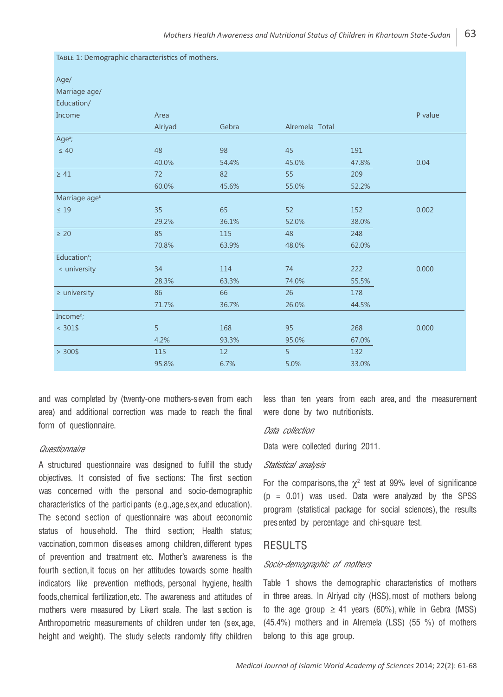| Age/                      |         |       |                |       |         |
|---------------------------|---------|-------|----------------|-------|---------|
| Marriage age/             |         |       |                |       |         |
| Education/                |         |       |                |       |         |
| Income                    | Area    |       |                |       | P value |
|                           | Alriyad | Gebra | Alremela Total |       |         |
| Age <sup>a</sup> ;        |         |       |                |       |         |
| $\leq 40$                 | 48      | 98    | 45             | 191   |         |
|                           | 40.0%   | 54.4% | 45.0%          | 47.8% | 0.04    |
| $\geq 41$                 | 72      | 82    | 55             | 209   |         |
|                           | 60.0%   | 45.6% | 55.0%          | 52.2% |         |
| Marriage age <sup>b</sup> |         |       |                |       |         |
| $\leq 19$                 | 35      | 65    | 52             | 152   | 0.002   |
|                           | 29.2%   | 36.1% | 52.0%          | 38.0% |         |
| $\geq 20$                 | 85      | 115   | 48             | 248   |         |
|                           | 70.8%   | 63.9% | 48.0%          | 62.0% |         |
| Education <sup>c</sup> ;  |         |       |                |       |         |
| < university              | 34      | 114   | 74             | 222   | 0.000   |
|                           | 28.3%   | 63.3% | 74.0%          | 55.5% |         |
| $\ge$ university          | 86      | 66    | 26             | 178   |         |
|                           | 71.7%   | 36.7% | 26.0%          | 44.5% |         |
| Income <sup>d</sup> ;     |         |       |                |       |         |
| $< 301$ \$                | 5       | 168   | 95             | 268   | 0.000   |
|                           | 4.2%    | 93.3% | 95.0%          | 67.0% |         |
| $> 300$ \$                | 115     | 12    | 5              | 132   |         |
|                           | 95.8%   | 6.7%  | 5.0%           | 33.0% |         |

and was completed by (twenty-one mothers-seven from each area) and additional correction was made to reach the final form of questionnaire.

Table 1: Demographic characteristics of mothers.

## Questionnaire

A structured questionnaire was designed to fulfill the study objectives. It consisted of five sections: The first section was concerned with the personal and socio-demographic characteristics of the participants (e.g., age, sex, and education). The second section of questionnaire was about eeconomic status of household. The third section; Health status; vaccination, common diseases among children, different types of prevention and treatment etc. Mother's awareness is the fourth section, it focus on her attitudes towards some health indicators like prevention methods, personal hygiene, health foods, chemical fertilization etc. The awareness and attitudes of mothers were measured by Likert scale. The last section is Anthropometric measurements of children under ten (sex, age, height and weight). The study selects randomly fifty children

less than ten years from each area, and the measurement were done by two nutritionists.

### Data collection

Data were collected during 2011.

#### Statistical analysis

For the comparisons, the  $\chi^2$  test at 99% level of significance  $(p = 0.01)$  was used. Data were analyzed by the SPSS program (statistical package for social sciences), the results presented by percentage and chi-square test.

## **RESULTS**

## Socio-demographic of mothers

Table 1 shows the demographic characteristics of mothers in three areas. In Alriyad city (HSS), most of mothers belong to the age group  $\geq 41$  years (60%), while in Gebra (MSS) (45.4%) mothers and in Alremela (LSS) (55 %) of mothers belong to this age group.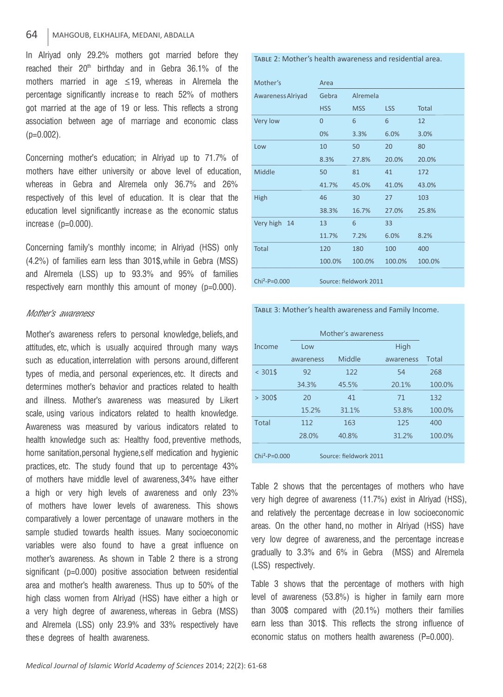# 64 MAHGOUB, ELKHALIFA, MEDANI, ABDALLA

In Alriyad only 29.2% mothers got married before they reached their 20<sup>th</sup> birthday and in Gebra 36.1% of the mothers married in age ≤19, whereas in Alremela the percentage significantly increase to reach 52% of mothers got married at the age of 19 or less. This reflects a strong association between age of marriage and economic class  $(p=0.002)$ .

Concerning mother's education; in Alriyad up to 71.7% of mothers have either university or above level of education, whereas in Gebra and Alremela only 36.7% and 26% respectively of this level of education. It is clear that the education level significantly increase as the economic status increase (p=0.000).

Concerning family's monthly income; in Alriyad (HSS) only (4.2%) of families earn less than 301\$, while in Gebra (MSS) and Alremela (LSS) up to 93.3% and 95% of families respectively earn monthly this amount of money (p=0.000).

#### Mother's awareness

Mother's awareness refers to personal knowledge, beliefs, and attitudes, etc, which is usually acquired through many ways such as education, interrelation with persons around, different types of media, and personal experiences, etc. It directs and determines mother's behavior and practices related to health and illness. Mother's awareness was measured by Likert scale, using various indicators related to health knowledge. Awareness was measured by various indicators related to health knowledge such as: Healthy food, preventive methods, home sanitation, personal hygiene, self medication and hygienic practices, etc. The study found that up to percentage 43% of mothers have middle level of awareness, 34% have either a high or very high levels of awareness and only 23% of mothers have lower levels of awareness. This shows comparatively a lower percentage of unaware mothers in the sample studied towards health issues. Many socioeconomic variables were also found to have a great influence on mother's awareness. As shown in Table 2 there is a strong significant (p=0.000) positive association between residential area and mother's health awareness. Thus up to 50% of the high class women from Alriyad (HSS) have either a high or a very high degree of awareness, whereas in Gebra (MSS) and Alremela (LSS) only 23.9% and 33% respectively have these degrees of health awareness.

Table 2: Mother's health awareness and residential area.

| Mother's          | Area           |                        |            |              |
|-------------------|----------------|------------------------|------------|--------------|
| Awareness Alriyad | Gebra          | Alremela               |            |              |
|                   | <b>HSS</b>     | <b>MSS</b>             | <b>LSS</b> | <b>Total</b> |
| Very low          | $\overline{0}$ | 6                      | 6          | 12           |
|                   | 0%             | 3.3%                   | 6.0%       | 3.0%         |
| Low               | 10             | 50                     | 20         | 80           |
|                   | 8.3%           | 27.8%                  | 20.0%      | 20.0%        |
| Middle            | 50             | 81                     | 41         | 172          |
|                   | 41.7%          | 45.0%                  | 41.0%      | 43.0%        |
| High              | 46             | 30                     | 27         | 103          |
|                   | 38.3%          | 16.7%                  | 27.0%      | 25.8%        |
| Very high<br>14   | 13             | 6                      | 33         |              |
|                   | 11.7%          | 7.2%                   | 6.0%       | 8.2%         |
| <b>Total</b>      | 120            | 180                    | 100        | 400          |
|                   | 100.0%         | 100.0%                 | 100.0%     | 100.0%       |
|                   |                |                        |            |              |
| $Chi^2-P=0.000$   |                | Source: fieldwork 2011 |            |              |

Table 3: Mother's health awareness and Family Income.

|                 |           | Mother's awareness     |           |        |
|-----------------|-----------|------------------------|-----------|--------|
| Income          | Low       |                        | High      |        |
|                 | awareness | Middle                 | awareness | Total  |
| $< 301$ \$      | 92        | 122                    | 54        | 268    |
|                 | 34.3%     | 45.5%                  | 20.1%     | 100.0% |
| $> 300$ \$      | 20        | 41                     | 71        | 132    |
|                 | 15.2%     | 31.1%                  | 53.8%     | 100.0% |
| Total           | 112       | 163                    | 125       | 400    |
|                 | 28.0%     | 40.8%                  | 31.2%     | 100.0% |
| $Chi^2-P=0.000$ |           | Source: fieldwork 2011 |           |        |

Table 2 shows that the percentages of mothers who have very high degree of awareness (11.7%) exist in Alriyad (HSS), and relatively the percentage decrease in low socioeconomic areas. On the other hand, no mother in Alriyad (HSS) have very low degree of awareness, and the percentage increase gradually to 3.3% and 6% in Gebra (MSS) and Alremela (LSS) respectively.

Table 3 shows that the percentage of mothers with high level of awareness (53.8%) is higher in family earn more than 300\$ compared with (20.1%) mothers their families earn less than 301\$. This reflects the strong influence of economic status on mothers health awareness (P=0.000).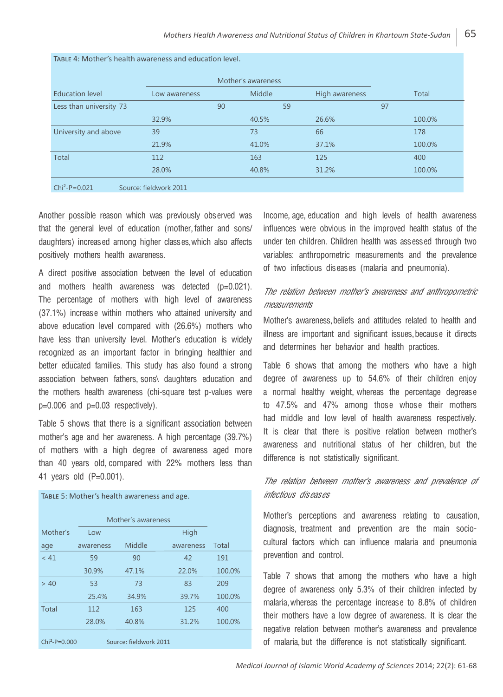|                         |                        |    | Mother's awareness |                |    |        |
|-------------------------|------------------------|----|--------------------|----------------|----|--------|
| Education level         | Low awareness          |    | Middle             | High awareness |    | Total  |
| Less than university 73 |                        | 90 |                    | 59             | 97 |        |
|                         | 32.9%                  |    | 40.5%              | 26.6%          |    | 100.0% |
| University and above    | 39                     |    | 73                 | 66             |    | 178    |
|                         | 21.9%                  |    | 41.0%              | 37.1%          |    | 100.0% |
| Total                   | 112                    |    | 163                | 125            |    | 400    |
|                         | 28.0%                  |    | 40.8%              | 31.2%          |    | 100.0% |
| $Chi^2-P=0.021$         | Source: fieldwork 2011 |    |                    |                |    |        |

Table 4: Mother's health awareness and education level.

Another possible reason which was previously observed was that the general level of education (mother, father and sons/ daughters) increased among higher classes, which also affects positively mothers health awareness.

A direct positive association between the level of education and mothers health awareness was detected (p=0.021). The percentage of mothers with high level of awareness (37.1%) increase within mothers who attained university and above education level compared with (26.6%) mothers who have less than university level. Mother's education is widely recognized as an important factor in bringing healthier and better educated families. This study has also found a strong association between fathers, sons\ daughters education and the mothers health awareness (chi-square test p-values were p=0.006 and p=0.03 respectively).

Table 5 shows that there is a significant association between mother's age and her awareness. A high percentage (39.7%) of mothers with a high degree of awareness aged more than 40 years old, compared with 22% mothers less than 41 years old (P=0.001).

TABLE 5: Mother's health awareness and age.

|                 |           | Mother's awareness     |           |        |  |
|-----------------|-----------|------------------------|-----------|--------|--|
| Mother's        | Low       |                        | High      |        |  |
| age             | awareness | Middle                 | awareness | Total  |  |
| < 41            | 59        | 90                     | 42        | 191    |  |
|                 | 30.9%     | 47.1%                  | 22.0%     | 100.0% |  |
| > 40            | 53        | 73                     | 83        | 209    |  |
|                 | 25.4%     | 34.9%                  | 39.7%     | 100.0% |  |
| Total           | 112       | 163                    | 125       | 400    |  |
|                 | 28.0%     | 40.8%                  | 31.2%     | 100.0% |  |
| $Chi^2-P=0.000$ |           | Source: fieldwork 2011 |           |        |  |

Income, age, education and high levels of health awareness influences were obvious in the improved health status of the under ten children. Children health was assessed through two variables: anthropometric measurements and the prevalence of two infectious diseases (malaria and pneumonia).

## The relation between mother's awareness and anthropometric measurements

Mother's awareness, beliefs and attitudes related to health and illness are important and significant issues, because it directs and determines her behavior and health practices.

Table 6 shows that among the mothers who have a high degree of awareness up to 54.6% of their children enjoy a normal healthy weight, whereas the percentage degrease to 47.5% and 47% among those whose their mothers had middle and low level of health awareness respectively. It is clear that there is positive relation between mother's awareness and nutritional status of her children, but the difference is not statistically significant.

# The relation between mother's awareness and prevalence of infectious diseases

Mother''s perceptions and awareness relating to causation, diagnosis, treatment and prevention are the main sociocultural factors which can influence malaria and pneumonia prevention and control.

Table 7 shows that among the mothers who have a high degree of awareness only 5.3% of their children infected by malaria, whereas the percentage increase to 8.8% of children their mothers have a low degree of awareness. It is clear the negative relation between mother's awareness and prevalence of malaria, but the difference is not statistically significant.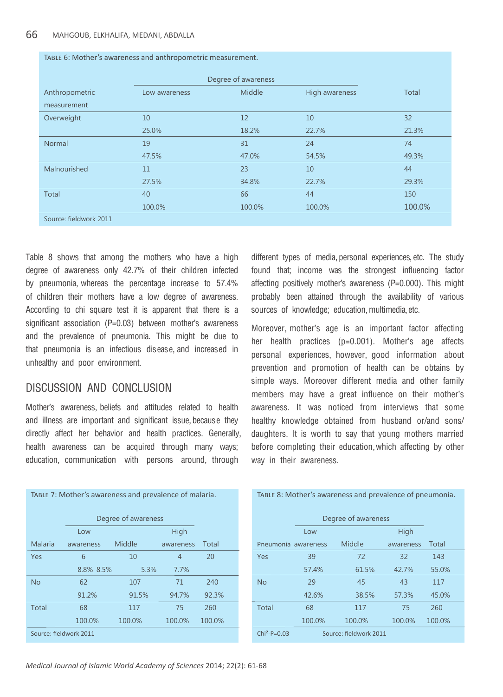|                        |               | Degree of awareness |                |        |
|------------------------|---------------|---------------------|----------------|--------|
| Anthropometric         | Low awareness | Middle              | High awareness | Total  |
| measurement            |               |                     |                |        |
| Overweight             | 10            | 12                  | 10             | 32     |
|                        | 25.0%         | 18.2%               | 22.7%          | 21.3%  |
| Normal                 | 19            | 31                  | 24             | 74     |
|                        | 47.5%         | 47.0%               | 54.5%          | 49.3%  |
| Malnourished           | 11            | 23                  | 10             | 44     |
|                        | 27.5%         | 34.8%               | 22.7%          | 29.3%  |
| Total                  | 40            | 66                  | 44             | 150    |
|                        | 100.0%        | 100.0%              | 100.0%         | 100.0% |
| Source: fieldwork 2011 |               |                     |                |        |

Table 6: Mother's awareness and anthropometric measurement.

Table 8 shows that among the mothers who have a high degree of awareness only 42.7% of their children infected by pneumonia, whereas the percentage increase to 57.4% of children their mothers have a low degree of awareness. According to chi square test it is apparent that there is a significant association (P=0.03) between mother's awareness and the prevalence of pneumonia. This might be due to that pneumonia is an infectious disease, and increased in unhealthy and poor environment.

# DISCUSSION AND CONCLUSION

Table 7: Mother's awareness and prevalence of malaria.

Mother's awareness, beliefs and attitudes related to health and illness are important and significant issue, because they directly affect her behavior and health practices. Generally, health awareness can be acquired through many ways; education, communication with persons around, through

different types of media, personal experiences, etc. The study found that; income was the strongest influencing factor affecting positively mother's awareness (P=0.000). This might probably been attained through the availability of various sources of knowledge; education, multimedia, etc.

Moreover, mother's age is an important factor affecting her health practices ( $p=0.001$ ). Mother's age affects personal experiences, however, good information about prevention and promotion of health can be obtains by simple ways. Moreover different media and other family members may have a great influence on their mother's awareness. It was noticed from interviews that some healthy knowledge obtained from husband or/and sons/ daughters. It is worth to say that young mothers married before completing their education, which affecting by other way in their awareness.

| <b>IADLE 7. IVIOLITEL 5 AWALCTICSS ATTU DI CVAIETICE OF ITIAIALIA.</b> |                     |        |                |        |  |
|------------------------------------------------------------------------|---------------------|--------|----------------|--------|--|
|                                                                        | Degree of awareness |        |                |        |  |
|                                                                        | Low                 |        | High           |        |  |
| Malaria                                                                | awareness           | Middle | awareness      | Total  |  |
| Yes                                                                    | 6                   | 10     | $\overline{4}$ | 20     |  |
|                                                                        | 8.8% 8.5%           | 5.3%   | 7.7%           |        |  |
| <b>No</b>                                                              | 62                  | 107    | 71             | 240    |  |
|                                                                        | 91.2%               | 91.5%  | 94.7%          | 92.3%  |  |
| Total                                                                  | 68                  | 117    | 75             | 260    |  |
|                                                                        | 100.0%              | 100.0% | 100.0%         | 100.0% |  |
| Source: fieldwork 2011                                                 |                     |        |                |        |  |

Table 8: Mother's awareness and prevalence of pneumonia.

| Degree of awareness |             |                        |           |        |  |
|---------------------|-------------|------------------------|-----------|--------|--|
|                     | High<br>Low |                        |           |        |  |
| Pneumonia awareness |             | Middle                 | awareness | Total  |  |
| Yes                 | 39          | 72                     | 32        | 143    |  |
|                     | 57.4%       | 61.5%                  | 42.7%     | 55.0%  |  |
| <b>No</b>           | 29          | 45                     | 43        | 117    |  |
|                     | 42.6%       | 38.5%                  | 57.3%     | 45.0%  |  |
| Total               | 68          | 117                    | 75        | 260    |  |
|                     | 100.0%      | 100.0%                 | 100.0%    | 100.0% |  |
| $Chi^2-P=0.03$      |             | Source: fieldwork 2011 |           |        |  |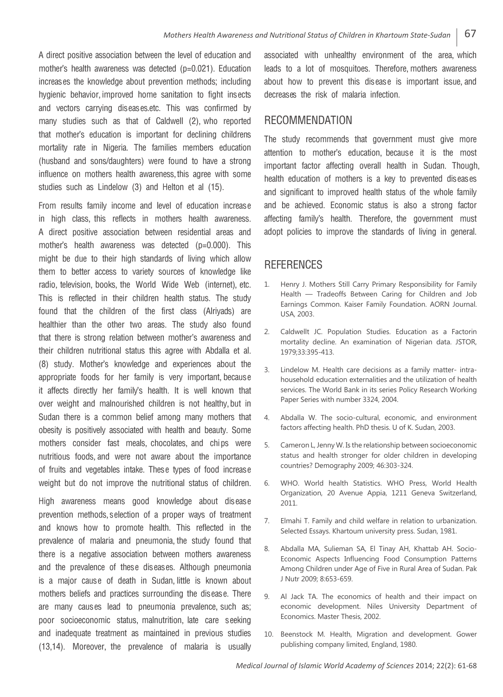A direct positive association between the level of education and mother's health awareness was detected (p=0.021). Education increases the knowledge about prevention methods; including hygienic behavior, improved home sanitation to fight insects and vectors carrying diseases.etc. This was confirmed by many studies such as that of Caldwell (2), who reported that mother's education is important for declining childrens mortality rate in Nigeria. The families members education (husband and sons/daughters) were found to have a strong influence on mothers health awareness, this agree with some studies such as Lindelow (3) and Helton et al (15).

From results family income and level of education increase in high class, this reflects in mothers health awareness. A direct positive association between residential areas and mother's health awareness was detected (p=0.000). This might be due to their high standards of living which allow them to better access to variety sources of knowledge like radio, television, books, the World Wide Web (internet), etc. This is reflected in their children health status. The study found that the children of the first class (Alriyads) are healthier than the other two areas. The study also found that there is strong relation between mother's awareness and their children nutritional status this agree with Abdalla et al. (8) study. Mother's knowledge and experiences about the appropriate foods for her family is very important, because it affects directly her family's health. It is well known that over weight and malnourished children is not healthy, but in Sudan there is a common belief among many mothers that obesity is positively associated with health and beauty. Some mothers consider fast meals, chocolates, and chips were nutritious foods, and were not aware about the importance of fruits and vegetables intake. These types of food increase weight but do not improve the nutritional status of children.

High awareness means good knowledge about disease prevention methods, selection of a proper ways of treatment and knows how to promote health. This reflected in the prevalence of malaria and pneumonia, the study found that there is a negative association between mothers awareness and the prevalence of these diseases. Although pneumonia is a major cause of death in Sudan, little is known about mothers beliefs and practices surrounding the disease. There are many causes lead to pneumonia prevalence, such as; poor socioeconomic status, malnutrition, late care seeking and inadequate treatment as maintained in previous studies (13,14). Moreover, the prevalence of malaria is usually associated with unhealthy environment of the area, which leads to a lot of mosquitoes. Therefore, mothers awareness about how to prevent this disease is important issue, and decreases the risk of malaria infection.

# **RECOMMENDATION**

The study recommends that government must give more attention to mother's education because it is the most important factor affecting overall health in Sudan. Though, health education of mothers is a key to prevented diseases and significant to improved health status of the whole family and be achieved. Economic status is also a strong factor affecting family's health. Therefore, the government must adopt policies to improve the standards of living in general.

# **REFERENCES**

- 1. Henry J. Mothers Still Carry Primary Responsibility for Family Health — Tradeoffs Between Caring for Children and Job Earnings Common. Kaiser Family Foundation. AORN Journal. USA, 2003.
- 2. Caldwellt JC. Population Studies. Education as a Factorin mortality decline. An examination of Nigerian data. JSTOR, 1979;33:395-413.
- 3. Lindelow M. Health care decisions as a family matter- intrahousehold education externalities and the utilization of health services. The World Bank in its series Policy Research Working Paper Series with number 3324, 2004.
- 4. Abdalla W. The socio-cultural, economic, and environment factors affecting health. PhD thesis. U of K. Sudan, 2003.
- 5. Cameron L, Jenny W. Is the relationship between socioeconomic status and health stronger for older children in developing countries? Demography 2009; 46:303-324.
- 6. WHO. World health Statistics. WHO Press, World Health Organization, 20 Avenue Appia, 1211 Geneva Switzerland, 2011.
- 7. Elmahi T. Family and child welfare in relation to urbanization. Selected Essays. Khartoum university press. Sudan, 1981.
- 8. Abdalla MA, Sulieman SA, El Tinay AH, Khattab AH. Socio-Economic Aspects Influencing Food Consumption Patterns Among Children under Age of Five in Rural Area of Sudan. Pak J Nutr 2009; 8:653-659.
- 9. Al Jack TA. The economics of health and their impact on economic development. Niles University Department of Economics. Master Thesis, 2002.
- 10. Beenstock M. Health, Migration and development. Gower publishing company limited, England, 1980.